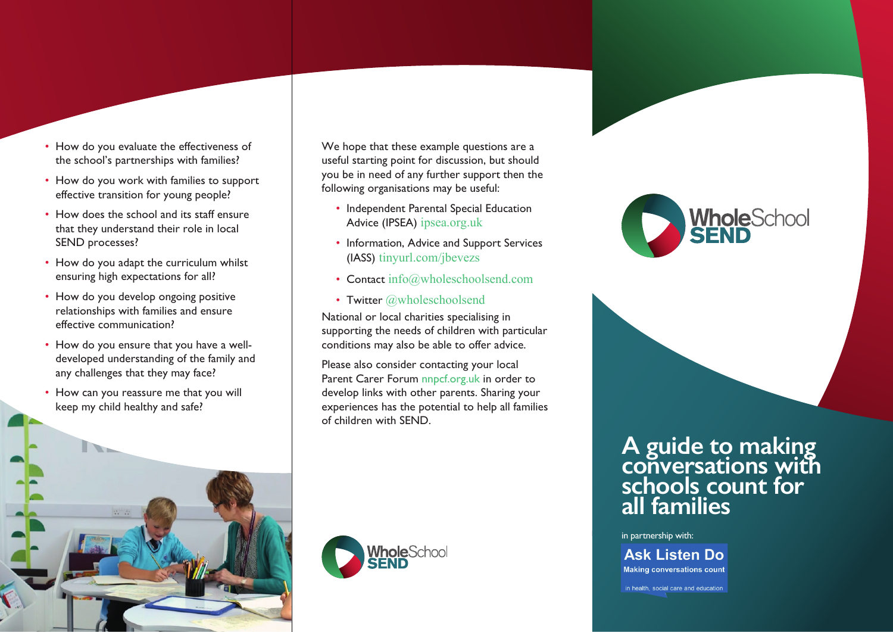- How do you evaluate the effectiveness of the school's partnerships with families?
- How do you work with families to support effective transition for young people?
- How does the school and its staff ensure that they understand their role in local SEND processes?
- How do you adapt the curriculum whilst ensuring high expectations for all?
- How do you develop ongoing positive relationships with families and ensure effective communication?
- How do you ensure that you have a welldeveloped understanding of the family and any challenges that they may face?
- How can you reassure me that you will keep my child healthy and safe?

We hope that these example questions are a useful starting point for discussion, but should you be in need of any further support then the following organisations may be useful:

- Independent Parental Special Education Advice (IPSEA) ipsea.org.uk
- Information, Advice and Support Services (IASS) tinyurl.com/jbevezs
- Contact info@wholeschoolsend.com
- Twitter @wholeschoolsend

National or local charities specialising in supporting the needs of children with particular conditions may also be able to offer advice.

Please also consider contacting your local Parent Carer Forum nnpcf.org.uk in order to develop links with other parents. Sharing your experiences has the potential to help all families of children with SEND.





## **A guide to making conversations with schools count for all families**

in partnership with:

## **Ask Listen Do**

**Making conversations count** 

in health, social care and education